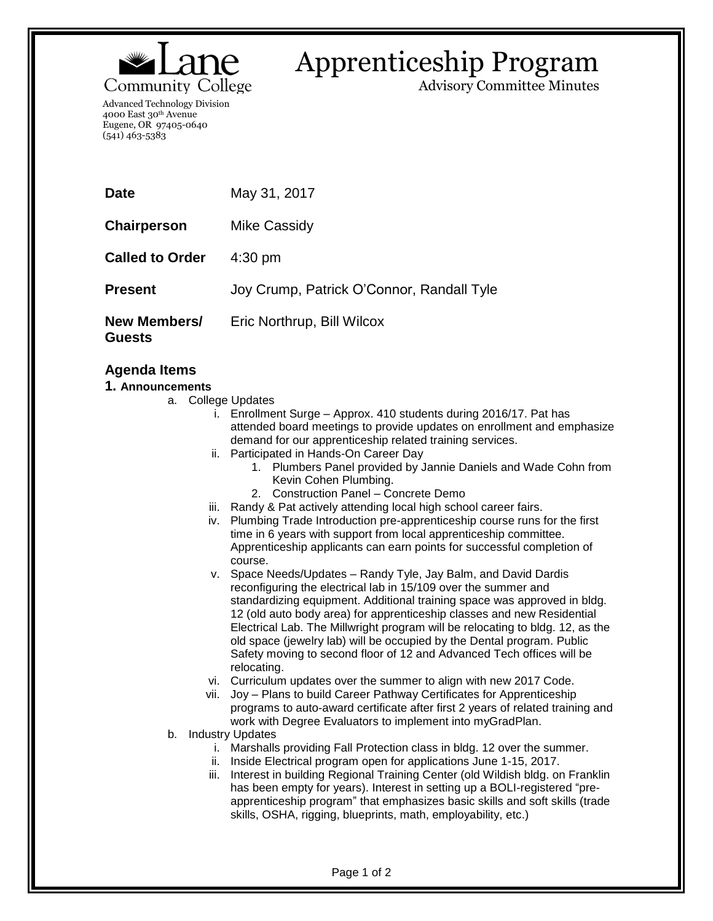

## Apprenticeship Program

Advisory Committee Minutes

Advanced Technology Division 4000 East 30th Avenue Eugene, OR 97405-0640 (541) 463-5383

| <b>Date</b>                   | May 31, 2017                              |
|-------------------------------|-------------------------------------------|
| <b>Chairperson</b>            | Mike Cassidy                              |
| <b>Called to Order</b>        | $4:30$ pm                                 |
| <b>Present</b>                | Joy Crump, Patrick O'Connor, Randall Tyle |
| New Members/<br><b>Guests</b> | Eric Northrup, Bill Wilcox                |

## **Agenda Items**

## **1. Announcements**

- a. College Updates
	- i. Enrollment Surge Approx. 410 students during 2016/17. Pat has attended board meetings to provide updates on enrollment and emphasize demand for our apprenticeship related training services.
	- ii. Participated in Hands-On Career Day
		- 1. Plumbers Panel provided by Jannie Daniels and Wade Cohn from Kevin Cohen Plumbing.
		- 2. Construction Panel Concrete Demo
	- iii. Randy & Pat actively attending local high school career fairs.
	- iv. Plumbing Trade Introduction pre-apprenticeship course runs for the first time in 6 years with support from local apprenticeship committee. Apprenticeship applicants can earn points for successful completion of course.
	- v. Space Needs/Updates Randy Tyle, Jay Balm, and David Dardis reconfiguring the electrical lab in 15/109 over the summer and standardizing equipment. Additional training space was approved in bldg. 12 (old auto body area) for apprenticeship classes and new Residential Electrical Lab. The Millwright program will be relocating to bldg. 12, as the old space (jewelry lab) will be occupied by the Dental program. Public Safety moving to second floor of 12 and Advanced Tech offices will be relocating.
	- vi. Curriculum updates over the summer to align with new 2017 Code.
	- vii. Joy Plans to build Career Pathway Certificates for Apprenticeship programs to auto-award certificate after first 2 years of related training and work with Degree Evaluators to implement into myGradPlan.
- b. Industry Updates
	- i. Marshalls providing Fall Protection class in bldg. 12 over the summer.
	- ii. Inside Electrical program open for applications June 1-15, 2017.
	- iii. Interest in building Regional Training Center (old Wildish bldg. on Franklin has been empty for years). Interest in setting up a BOLI-registered "preapprenticeship program" that emphasizes basic skills and soft skills (trade skills, OSHA, rigging, blueprints, math, employability, etc.)